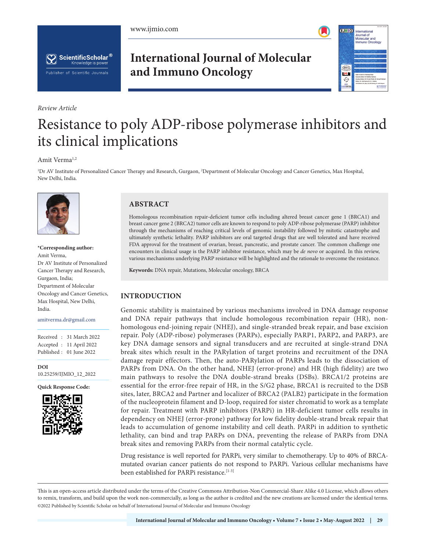





*Review Article*

## **International Journal of Molecular and Immuno Oncology**



# Resistance to poly ADP-ribose polymerase inhibitors and its clinical implications

#### Amit Verma<sup>1,2</sup>

1 Dr AV Institute of Personalized Cancer Therapy and Research, Gurgaon, 2 Department of Molecular Oncology and Cancer Genetics, Max Hospital, New Delhi, India.



**\*Corresponding author:** Amit Verma, Dr AV Institute of Personalized Cancer Therapy and Research, Gurgaon, India; Department of Molecular Oncology and Cancer Genetics, Max Hospital, New Delhi, India.

amitverma.dr@gmail.com

Received : 31 March 2022 Accepted : 11 April 2022 Published : 01 June 2022

**DOI** [10.25259/IJMIO\\_12\\_2022](https://dx.doi.org/10.25259/IJMIO_12_2022)

**Quick Response Code:**



## **ABSTRACT**

Homologous recombination repair-deficient tumor cells including altered breast cancer gene 1 (BRCA1) and breast cancer gene 2 (BRCA2) tumor cells are known to respond to poly ADP-ribose polymerase (PARP) inhibitor through the mechanisms of reaching critical levels of genomic instability followed by mitotic catastrophe and ultimately synthetic lethality. PARP inhibitors are oral targeted drugs that are well tolerated and have received FDA approval for the treatment of ovarian, breast, pancreatic, and prostate cancer. The common challenge one encounters in clinical usage is the PARP inhibitor resistance, which may be *de novo* or acquired. In this review, various mechanisms underlying PARP resistance will be highlighted and the rationale to overcome the resistance.

**Keywords:** DNA repair, Mutations, Molecular oncology, BRCA

## **INTRODUCTION**

Genomic stability is maintained by various mechanisms involved in DNA damage response and DNA repair pathways that include homologous recombination repair (HR), nonhomologous end-joining repair (NHEJ), and single-stranded break repair, and base excision repair. Poly (ADP-ribose) polymerases (PARPs), especially PARP1, PARP2, and PARP3, are key DNA damage sensors and signal transducers and are recruited at single-strand DNA break sites which result in the PARylation of target proteins and recruitment of the DNA damage repair effectors. Then, the auto-PARylation of PARPs leads to the dissociation of PARPs from DNA. On the other hand, NHEJ (error-prone) and HR (high fidelity) are two main pathways to resolve the DNA double-strand breaks (DSBs). BRCA1/2 proteins are essential for the error-free repair of HR, in the S/G2 phase, BRCA1 is recruited to the DSB sites, later, BRCA2 and Partner and localizer of BRCA2 (PALB2) participate in the formation of the nucleoprotein filament and D-loop, required for sister chromatid to work as a template for repair. Treatment with PARP inhibitors (PARPi) in HR-deficient tumor cells results in dependency on NHEJ (error-prone) pathway for low fidelity double-strand break repair that leads to accumulation of genome instability and cell death. PARPi in addition to synthetic lethality, can bind and trap PARPs on DNA, preventing the release of PARPs from DNA break sites and removing PARPs from their normal catalytic cycle.

Drug resistance is well reported for PARPi, very similar to chemotherapy. Up to 40% of BRCAmutated ovarian cancer patients do not respond to PARPi. Various cellular mechanisms have been established for PARPi resistance.<sup>[1-3]</sup>

This is an open-access article distributed under the terms of the Creative Commons Attribution-Non Commercial-Share Alike 4.0 License, which allows others to remix, transform, and build upon the work non-commercially, as long as the author is credited and the new creations are licensed under the identical terms. ©2022 Published by Scientific Scholar on behalf of International Journal of Molecular and Immuno Oncology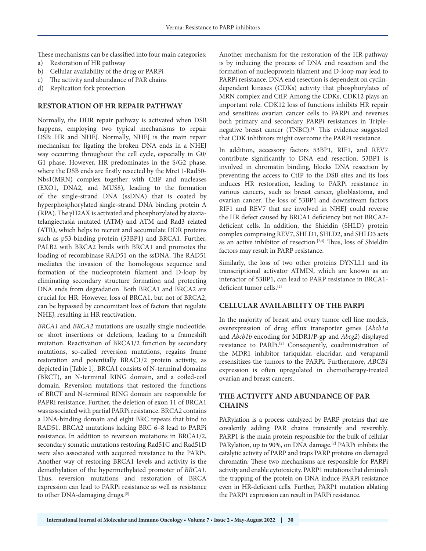These mechanisms can be classified into four main categories:

- a) Restoration of HR pathway
- b) Cellular availability of the drug or PARPi
- c) The activity and abundance of PAR chains
- d) Replication fork protection

#### **RESTORATION OF HR REPAIR PATHWAY**

Normally, the DDR repair pathway is activated when DSB happens, employing two typical mechanisms to repair DSB: HR and NHEJ. Normally, NHEJ is the main repair mechanism for ligating the broken DNA ends in a NHEJ way occurring throughout the cell cycle, especially in G0/ G1 phase. However, HR predominates in the S/G2 phase, where the DSB ends are firstly resected by the Mre11-Rad50- Nbs1(MRN) complex together with CtIP and nucleases (EXO1, DNA2, and MUS8), leading to the formation of the single-strand DNA (ssDNA) that is coated by hyperphosphorylated single-strand DNA binding protein A (RPA). The γH2AX is activated and phosphorylated by ataxiatelangiectasia mutated (ATM) and ATM and Rad3 related (ATR), which helps to recruit and accumulate DDR proteins such as p53-binding protein (53BP1) and BRCA1. Further, PALB2 with BRCA2 binds with BRCA1 and promotes the loading of recombinase RAD51 on the ssDNA. The RAD51 mediates the invasion of the homologous sequence and formation of the nucleoprotein filament and D-loop by eliminating secondary structure formation and protecting DNA ends from degradation. Both BRCA1 and BRCA2 are crucial for HR. However, loss of BRCA1, but not of BRCA2, can be bypassed by concomitant loss of factors that regulate NHEJ, resulting in HR reactivation.

*BRCA1* and *BRCA2* mutations are usually single nucleotide, or short insertions or deletions, leading to a frameshift mutation. Reactivation of BRCA1/2 function by secondary mutations, so-called reversion mutations, regains frame restoration and potentially BRAC1/2 protein activity, as depicted in [Table 1]. BRCA1 consists of N-terminal domains (BRCT), an N-terminal RING domain, and a coiled-coil domain. Reversion mutations that restored the functions of BRCT and N-terminal RING domain are responsible for PAPRi resistance. Further, the deletion of exon 11 of BRCA1 was associated with partial PARPi resistance. BRCA2 contains a DNA-binding domain and eight BRC repeats that bind to RAD51. BRCA2 mutations lacking BRC 6–8 lead to PARPi resistance. In addition to reversion mutations in BRCA1/2, secondary somatic mutations restoring Rad51C and Rad51D were also associated with acquired resistance to the PARPi. Another way of restoring BRCA1 levels and activity is the demethylation of the hypermethylated promoter of *BRCA1*. Thus, reversion mutations and restoration of BRCA expression can lead to PARPi resistance as well as resistance to other DNA-damaging drugs.[3]

Another mechanism for the restoration of the HR pathway is by inducing the process of DNA end resection and the formation of nucleoprotein filament and D-loop may lead to PARPi resistance. DNA end resection is dependent on cyclindependent kinases (CDKs) activity that phosphorylates of MRN complex and CtIP. Among the CDKs, CDK12 plays an important role. CDK12 loss of functions inhibits HR repair and sensitizes ovarian cancer cells to PARPi and reverses both primary and secondary PARPi resistances in Triplenegative breast cancer (TNBC).<sup>[4]</sup> This evidence suggested that CDK inhibitors might overcome the PARPi resistance.

In addition, accessory factors 53BP1, RIF1, and REV7 contribute significantly to DNA end resection. 53BP1 is involved in chromatin binding, blocks DNA resection by preventing the access to CtIP to the DSB sites and its loss induces HR restoration, leading to PARPi resistance in various cancers, such as breast cancer, glioblastoma, and ovarian cancer. The loss of 53BP1 and downstream factors RIF1 and REV7 that are involved in NHEJ could reverse the HR defect caused by BRCA1 deficiency but not BRCA2 deficient cells. In addition, the Shieldin (SHLD) protein complex comprising REV7, SHLD1, SHLD2, and SHLD3 acts as an active inhibitor of resection.<sup>[2,4]</sup> Thus, loss of Shieldin factors may result in PARP resistance.

Similarly, the loss of two other proteins DYNLL1 and its transcriptional activator ATMIN, which are known as an interactor of 53BP1, can lead to PARP resistance in BRCA1 deficient tumor cells.[2]

### **CELLULAR AVAILABILITY OF THE PARPi**

In the majority of breast and ovary tumor cell line models, overexpression of drug efflux transporter genes (*Abcb1a*  and *Abcb1b* encoding for MDR1/P-gp and *Abcg2*) displayed resistance to PARPi.[2] Consequently, coadministration of the MDR1 inhibitor tariquidar, elacridar, and verapamil resensitizes the tumors to the PARPi. Furthermore, *ABCB1*  expression is often upregulated in chemotherapy-treated ovarian and breast cancers.

## **THE ACTIVITY AND ABUNDANCE OF PAR CHAINS**

PARylation is a process catalyzed by PARP proteins that are covalently adding PAR chains transiently and reversibly. PARP1 is the main protein responsible for the bulk of cellular PARylation, up to 90%, on DNA damage.<sup>[2]</sup> PARPi inhibits the catalytic activity of PARP and traps PARP proteins on damaged chromatin. These two mechanisms are responsible for PARPi activity and enable cytotoxicity. PARP1 mutations that diminish the trapping of the protein on DNA induce PARPi resistance even in HR-deficient cells. Further, PARP1 mutation ablating the PARP1 expression can result in PARPi resistance.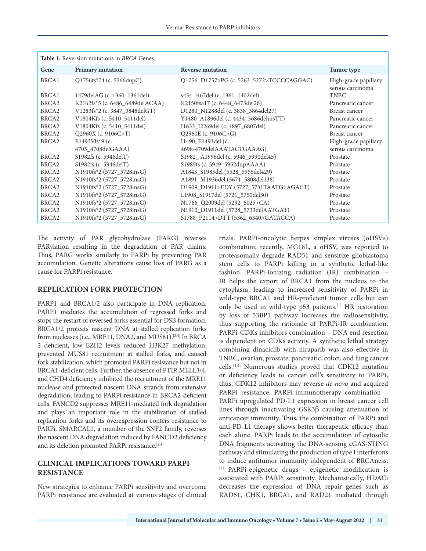| <b>Table 1:</b> Reversion mutations in BRCA Genes |                                 |                                          |                                          |
|---------------------------------------------------|---------------------------------|------------------------------------------|------------------------------------------|
| Gene                                              | <b>Primary mutation</b>         | <b>Reverse mutation</b>                  | Tumor type                               |
| BRCA1                                             | $Q1756f's*74$ (c. 5266dupC)     | Q1756_D1757>PG (c. 5263_5272>TCCCCAGGAC) | High-grade papillary<br>serous carcinoma |
| BRCA1                                             | 1479 del AG (c. 1360 1361 del)  | s454 1467del (c. 1361 1402del)           | <b>TNBC</b>                              |
| BRCA <sub>2</sub>                                 | K2162fs*5 (c. 6486 6489delACAA) | K2150fsa17 (c. 6448 6473del26)           | Pancreatic cancer                        |
| BRCA <sub>2</sub>                                 | V1283fs*2 (c. 3847_3848delGT)   | D1280_N1288del (c. 3838_3864del27)       | Breast cancer                            |
| BRCA <sub>2</sub>                                 | V1804Kfs (c. 5410_5411del)      | Y1480_A1896del (c. 4434_5686delinsTT)    | Pancreatic cancer                        |
| BRCA <sub>2</sub>                                 | V1804Kfs (c. 5410 5411del)      | I1633 I2269del (c. 4897 6807del)         | Pancreatic cancer                        |
| BRCA <sub>2</sub>                                 | $Q2960X$ (c. 9106C>T)           | $Q2960E$ (c. 9106C>G)                    | Breast cancer                            |
| BRCA <sub>2</sub>                                 | E1493Vfs*9 (c.                  | I1490_E1493del (c.                       | High-grade papillary                     |
|                                                   | 4705 4708delGAAA)               | 4698-4709delAAATACTGAAAG)                | serous carcinoma                         |
| BRCA <sub>2</sub>                                 | S1982fs (c. 5946delT)           | S1982_A1996del (c. 5946_5990del45)       | Prostate                                 |
| BRCA <sub>2</sub>                                 | S1982fs (c. 5946delT)           | S1985fs (c. 5949_5952dupAAAA)            | Prostate                                 |
| BRCA <sub>2</sub>                                 | N1910fs*2 (5727_5728insG)       | A1843_S1985del (5528_5956del429)         | Prostate                                 |
| BRCA <sub>2</sub>                                 | N1910fs*2 (5727 5728insG)       | A1891 M1936del (5671 5808del138)         | Prostate                                 |
| BRCA <sub>2</sub>                                 | N1910fs*2 (5727 5728insG)       | D1909_D1911>EDY (5727_5731TAATG>AGACT)   | Prostate                                 |
| BRCA <sub>2</sub>                                 | N1910fs*2 (5727_5728insG)       | L1908_S1917del (5721_5750del30)          | Prostate                                 |
| BRCA <sub>2</sub>                                 | N1910fs*2 (5727_5728insG)       | N1766 Q2009del (5292 6025>CA)            | Prostate                                 |
| BRCA <sub>2</sub>                                 | N1910fs*2 (5727_5728insG)       | N1910_D1911del (5728_5733delAATGAT)      | Prostate                                 |
| BRCA <sub>2</sub>                                 | N1910fs*2 (5727_5728insG)       | S1788_P2114>DTT (5362_6340>GATACCA)      | Prostate                                 |

The activity of PAR glycohydrolase (PARG) reverses PARylation resulting in the degradation of PAR chains. Thus, PARG works similarly to PARPi by preventing PAR accumulation. Genetic alterations cause loss of PARG as a cause for PARPi resistance.

#### **REPLICATION FORK PROTECTION**

PARP1 and BRCA1/2 also participate in DNA replication. PARP1 mediates the accumulation of regressed forks and stops the restart of reversed forks essential for DSB formation. BRCA1/2 protects nascent DNA at stalled replication forks from nucleases (i.e., MRE11, DNA2, and MUS81).<sup>[2,4]</sup> In BRCA 2 deficient, low EZH2 levels reduced H3K27 methylation, prevented MUS81 recruitment at stalled forks, and caused fork stabilization, which promoted PARPi resistance but not in BRCA1-deficient cells. Further, the absence of PTIP, MELL3/4, and CHD4 deficiency inhibited the recruitment of the MRE11 nuclease and protected nascent DNA strands from extensive degradation, leading to PARPi resistance in BRCA2-deficient cells. FANCD2 suppresses MRE11-mediated fork degradation and plays an important role in the stabilization of stalled replication forks and its overexpression confers resistance to PARPi. SMARCAL1, a member of the SNF2 family, reverses the nascent DNA degradation induced by FANCD2 deficiency and its deletion promoted PARPi resistance.<sup>[2,4]</sup>

## **CLINICAL IMPLICATIONS TOWARD PARPI RESISTANCE**

New strategies to enhance PARPi sensitivity and overcome PARPi resistance are evaluated at various stages of clinical trials. PARPi-oncolytic herpes simplex viruses (oHSVs) combination; recently, MG18L, a oHSV, was reported to proteasomally degrade RAD51 and sensitize glioblastoma stem cells to PARPi killing in a synthetic lethal-like fashion. PARPi-ionizing radiation (IR) combination – IR helps the export of BRCA1 from the nucleus to the cytoplasm, leading to increased sensitivity of PARPi in wild-type BRCA1 and HR-proficient tumor cells but can only be used in wild-type p53 patients.[1] HR restoration by loss of 53BP1 pathway increases the radiosensitivity, thus supporting the rationale of PARPi-IR combination. PARPi-CDKs inhibitors combination – DNA end resection is dependent on CDKs activity. A synthetic lethal strategy combining dinaciclib with niraparib was also effective in TNBC, ovarian, prostate, pancreatic, colon, and lung cancer cells.[1,4] Numerous studies proved that CDK12 mutation or deficiency leads to cancer cell's sensitivity to PARPi, thus, CDK12 inhibitors may reverse *de novo* and acquired PARPi resistance. PARPi-immunotherapy combination – PARPi upregulated PD-L1 expression in breast cancer cell lines through inactivating GSK3β causing attenuation of anticancer immunity. Thus, the combination of PARPi and anti-PD-L1 therapy shows better therapeutic efficacy than each alone. PARPi leads to the accumulation of cytosolic DNA fragments activating the DNA-sensing cGAS-STING pathway and stimulating the production of type I interferons to induce antitumor immunity independent of BRCAness. [4] PARPi-epigenetic drugs – epigenetic modification is associated with PARPi sensitivity. Mechanistically, HDACi decreases the expression of DNA repair genes such as RAD51, CHK1, BRCA1, and RAD21 mediated through